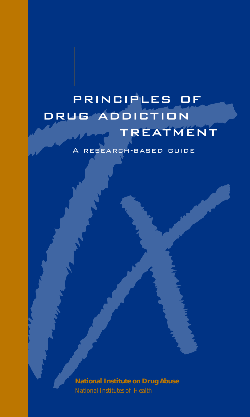# principles of drug addiction TREATMENT

A research-based guide

**National Institute on Drug Abuse** National Institutes of Health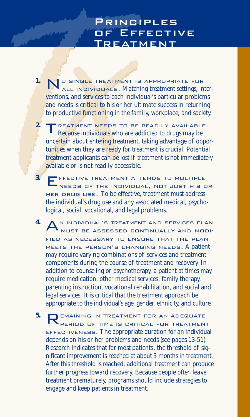# **PRINCIPLES** of Effective **TREATMENT**

- 1. No single treatment is appropriate for ALL INDIVIDUALS. Matching treatment settings, interventions, and services to each individual's particular problems and needs is critical to his or her ultimate success in returning to productive functioning in the family, workplace, and society.
- **2.** T reatment needs to be readily available. Because individuals who are addicted to drugs may be uncertain about entering treatment, taking advantage of opportunities when they are ready for treatment is crucial. Potential treatment applicants can be lost if treatment is not immediately available or is not readily accessible.
- **3. E** FFECTIVE TREATMENT ATTENDS TO MULTIPLE needs of the individual, not just his or her drug use. To be effective, treatment must address the individual's drug use and any associated medical, psychological, social, vocational, and legal problems.
- **4.** A N INDIVIDUAL'S TREATMENT AND SERVICES PLAN must be assessed continually and modified as necessary to ensure that the plan meets the person's changing needs. A patient may require varying combinations of services and treatment components during the course of treatment and recovery. In addition to counseling or psychotherapy, a patient at times may require medication, other medical services, family therapy, parenting instruction, vocational rehabilitation, and social and legal services. It is critical that the treatment approach be appropriate to the individual's age, gender, ethnicity, and culture.
- **5. CHE** EMAINING IN TREATMENT FOR AN ADEQUATE period of time is critical for treatment  $E$   $F$   $F$   $E$   $G$   $T$   $V$   $E$   $S$   $S$  . The appropriate duration for an individual depends on his or her problems and needs (see pages 13-51). Research indicates that for most patients, the threshold of significant improvement is reached at about 3 months in treatment. After this threshold is reached, additional treatment can produce further progress toward recovery. Because people often leave treatment prematurely, programs should include strategies to engage and keep patients in treatment.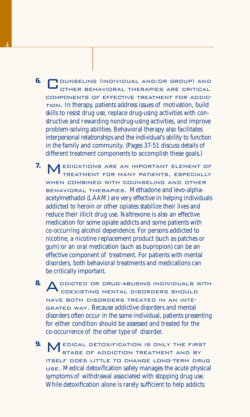**6.** COUNSELING (INDIVIDUAL AND/OR GROUP) AND other behavioral therapies are critical components of effective treatment for addict i o n . In therapy, patients address issues of motivation, build skills to resist drug use, replace drug-using activities with constructive and rewarding nondrug-using activities, and improve problem-solving abilities. Behavioral therapy also facilitates interpersonal relationships and the individual's ability to function in the family and community. (Pages 37-51 discuss details of different treatment components to accomplish these goals.)

4

- **7.** Medications are an important element of TREATMENT FOR MANY PATIENTS, ESPECIALLY when combined with counseling and other behavioral therapies. Methadone and levo-alphaacetylmethadol (LAAM) are very effective in helping individuals addicted to heroin or other opiates stabilize their lives and reduce their illicit drug use. Naltrexone is also an effective medication for some opiate addicts and some patients with co-occurring alcohol dependence. For persons addicted to nicotine, a nicotine replacement product (such as patches or gum) or an oral medication (such as bupropion) can be an effective component of treatment. For patients with mental disorders, both behavioral treatments and medications can be critically important.
- **8.** A DDICTED OR DRUG-ABUSING INDIVIDUALS WITH coexisting mental disorders should have both disorders treated in an integrated way. Because addictive disorders and mental disorders often occur in the same individual, patients presenting for either condition should be assessed and treated for the co-occurrence of the other type of disorder.
- **9.** Medical detoxification is only the first stage of addiction treatment and by itself does little to change long-term drug  $u$  s  $\varepsilon$ . Medical detoxification safely manages the acute physical symptoms of withdrawal associated with stopping drug use. While detoxification alone is rarely sufficient to help addicts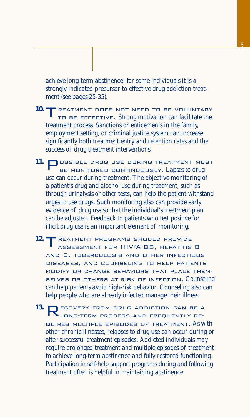achieve long-term abstinence, for some individuals it is a strongly indicated precursor to effective drug addiction treatment (see pages 25-35).

- $10.\top$ reatment does not need to be voluntary to be effective. Strong motivation can facilitate the treatment process. Sanctions or enticements in the family, employment setting, or criminal justice system can increase significantly both treatment entry and retention rates and the success of drug treatment interventions.
- 11. **O** OSSIBLE DRUG USE DURING TREATMENT MUST be monitored continuously. Lapses to drug use can occur during treatment. The objective monitoring of a patient's drug and alcohol use during treatment, such as through urinalysis or other tests, can help the patient withstand urges to use drugs. Such monitoring also can provide early evidence of drug use so that the individual's treatment plan can be adjusted. Feedback to patients who test positive for illicit drug use is an important element of monitoring.
- $12.$ reatment programs should provide assessment for HIV/AIDS, hepatitis B and C, tuberculosis and other infectious diseases, and counseling to help patients modify or change behaviors that place them-SELVES OR OTHERS AT RISK OF INFECTION. Counseling can help patients avoid high-risk behavior. Counseling also can help people who are already infected manage their illness.
- **13.** RECOVERY FROM DRUG ADDICTION CAN BE A long-term process and frequently re-QUIRES MULTIPLE EPISODES OF TREATMENT. As with other chronic illnesses, relapses to drug use can occur during or after successful treatment episodes. Addicted individuals may require prolonged treatment and multiple episodes of treatment to achieve long-term abstinence and fully restored functioning. Participation in self-help support programs during and following treatment often is helpful in maintaining abstinence.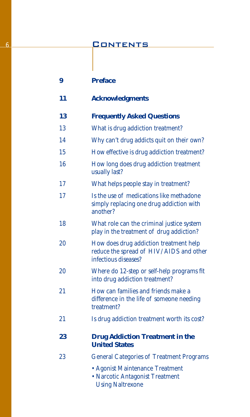# **CONTENTS**

| 9  | <b>Preface</b>                                                                                            |
|----|-----------------------------------------------------------------------------------------------------------|
| 11 | <b>Acknowledgments</b>                                                                                    |
| 13 | <b>Frequently Asked Questions</b>                                                                         |
| 13 | What is drug addiction treatment?                                                                         |
| 14 | Why can't drug addicts quit on their own?                                                                 |
| 15 | How effective is drug addiction treatment?                                                                |
| 16 | How long does drug addiction treatment<br>usually last?                                                   |
| 17 | What helps people stay in treatment?                                                                      |
| 17 | Is the use of medications like methadone<br>simply replacing one drug addiction with<br>another?          |
| 18 | What role can the criminal justice system<br>play in the treatment of drug addiction?                     |
| 20 | How does drug addiction treatment help<br>reduce the spread of HIV/AIDS and other<br>infectious diseases? |
| 20 | Where do 12-step or self-help programs fit<br>into drug addiction treatment?                              |
| 21 | How can families and friends make a<br>difference in the life of someone needing<br>treatment?            |
| 21 | Is drug addiction treatment worth its cost?                                                               |
| 23 | <b>Drug Addiction Treatment in the</b><br><b>United States</b>                                            |
| 23 | <b>General Categories of Treatment Programs</b>                                                           |
|    | • Agonist Maintenance Treatment<br>• Narcotic Antagonist Treatment<br><b>Using Naltrexone</b>             |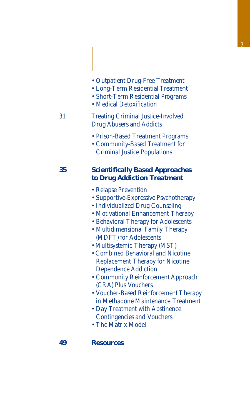| • Outpatient Drug-Free Treatment  |
|-----------------------------------|
| • Long-Term Residential Treatment |
| • Short-Term Residential Programs |

• Medical Detoxification

# 31 Treating Criminal Justice-Involved Drug Abusers and Addicts

- Prison-Based Treatment Programs
- Community-Based Treatment for Criminal Justice Populations

# **35 Scientifically Based Approaches to Drug Addiction Treatment**

- Relapse Prevention
- Supportive-Expressive Psychotherapy
- Individualized Drug Counseling
- Motivational Enhancement Therapy
- Behavioral Therapy for Adolescents
- Multidimensional Family Therapy (MDFT) for Adolescents
- Multisystemic Therapy (MST)
- Combined Behavioral and Nicotine Replacement Therapy for Nicotine Dependence Addiction
- Community Reinforcement Approach (CRA) Plus Vouchers
- Voucher-Based Reinforcement Therapy in Methadone Maintenance Treatment
- Day Treatment with Abstinence Contingencies and Vouchers
- The Matrix Model

**49 Resources**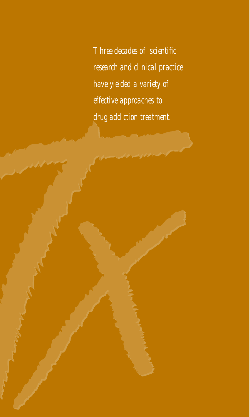*Three decades of scientific research and clinical practice have yielded a variety of effective approaches to drug addiction treatment.*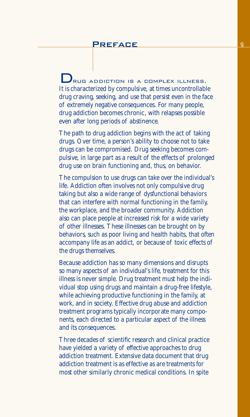RUG ADDICTION IS A COMPLEX ILLNESS. It is characterized by compulsive, at times uncontrollable drug craving, seeking, and use that persist even in the face of extremely negative consequences. For many people, drug addiction becomes chronic, with relapses possible even after long periods of abstinence.

The path to drug addiction begins with the act of taking drugs. Over time, a person's ability to choose not to take drugs can be compromised. Drug seeking becomes compulsive, in large part as a result of the effects of prolonged drug use on brain functioning and, thus, on behavior.

The compulsion to use drugs can take over the individual's life. Addiction often involves not only compulsive drug taking but also a wide range of dysfunctional behaviors that can interfere with normal functioning in the family, the workplace, and the broader community. Addiction also can place people at increased risk for a wide variety of other illnesses. These illnesses can be brought on by behaviors, such as poor living and health habits, that often accompany life as an addict, or because of toxic effects of the drugs themselves.

Because addiction has so many dimensions and disrupts so many aspects of an individual's life, treatment for this illness is never simple. Drug treatment must help the individual stop using drugs and maintain a drug-free lifestyle, while achieving productive functioning in the family, at work, and in society. Effective drug abuse and addiction treatment programs typically incorporate many components, each directed to a particular aspect of the illness and its consequences.

Three decades of scientific research and clinical practice have yielded a variety of effective approaches to drug addiction treatment. Extensive data document that drug addiction treatment is as effective as are treatments for most other similarly chronic medical conditions. In spite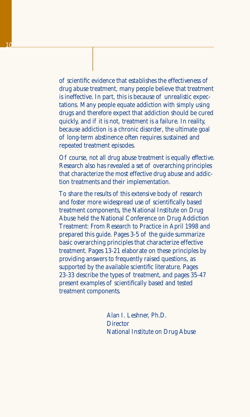of scientific evidence that establishes the effectiveness of drug abuse treatment, many people believe that treatment is ineffective. In part, this is because of unrealistic expectations. Many people equate addiction with simply using drugs and therefore expect that addiction should be cured quickly, and if it is not, treatment is a failure. In reality, because addiction is a chronic disorder, the ultimate goal of long-term abstinence often requires sustained and repeated treatment episodes.

10

Of course, not all drug abuse treatment is equally effective. Research also has revealed a set of overarching principles that characterize the most effective drug abuse and addiction treatments and their implementation.

To share the results of this extensive body of research and foster more widespread use of scientifically based treatment components, the National Institute on Drug Abuse held the National Conference on Drug Addiction Treatment: From Research to Practice in April 1998 and prepared this guide. Pages 3-5 of the guide summarize basic overarching principles that characterize effective treatment. Pages 13-21 elaborate on these principles by providing answers to frequently raised questions, as supported by the available scientific literature. Pages 23-33 describe the types of treatment, and pages 35-47 present examples of scientifically based and tested treatment components.

> Alan I. Leshner, Ph.D. **Director** National Institute on Drug Abuse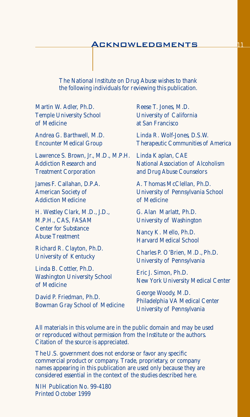#### Acknowledgments 11

The National Institute on Drug Abuse wishes to thank the following individuals for reviewing this publication.

Martin W. Adler, Ph.D. Temple University School of Medicine

Andrea G. Barthwell, M.D. Encounter Medical Group

Lawrence S. Brown, Jr., M.D., M.P.H. Addiction Research and Treatment Corporation

James F. Callahan, D.P.A. American Society of Addiction Medicine

H. Westley Clark, M.D., J.D., M.P.H., CAS, FASAM Center for Substance Abuse Treatment

Richard R. Clayton, Ph.D. University of Kentucky

Linda B. Cottler, Ph.D. Washington University School of Medicine

David P. Friedman, Ph.D. Bowman Gray School of Medicine Reese T. Jones, M.D. University of California at San Francisco

Linda R. Wolf-Jones, D.S.W. Therapeutic Communities of America

Linda Kaplan, CAE National Association of Alcoholism and Drug Abuse Counselors

A. Thomas McClellan, Ph.D. University of Pennsylvania School of Medicine

G. Alan Marlatt, Ph.D. University of Washington

Nancy K. Mello, Ph.D. Harvard Medical School

Charles P. O'Brien, M.D., Ph.D. University of Pennsylvania

Eric J. Simon, Ph.D. New York University Medical Center

George Woody, M.D. Philadelphia VA Medical Center University of Pennsylvania

All materials in this volume are in the public domain and may be used or reproduced without permission from the Institute or the authors. Citation of the source is appreciated.

The U.S. government does not endorse or favor any specific commercial product or company. Trade, proprietary, or company names appearing in this publication are used only because they are considered essential in the context of the studies described here.

NIH Publication No. 99-4180 Printed October 1999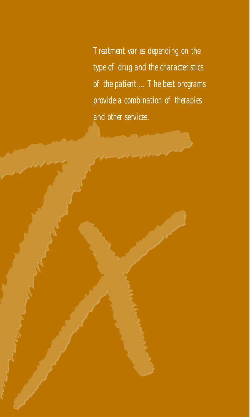*Treatment varies depending on the type of drug and the characteristics of the patient.…The best programs provide a combination of therapies and other services.*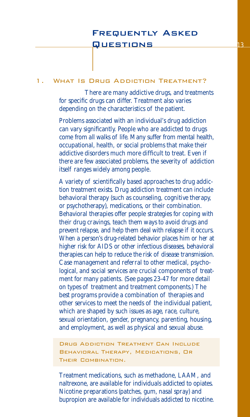# Frequently Asked

#### <u>Questions</u>

### 1. What Is Drug Addiction Treatment?

There are many addictive drugs, and treatments for specific drugs can differ. Treatment also varies depending on the characteristics of the patient.

Problems associated with an individual's drug addiction can vary significantly. People who are addicted to drugs come from all walks of life. Many suffer from mental health, occupational, health, or social problems that make their addictive disorders much more difficult to treat. Even if there are few associated problems, the severity of addiction itself ranges widely among people.

A variety of scientifically based approaches to drug addiction treatment exists. Drug addiction treatment can include behavioral therapy (such as counseling, cognitive therapy, or psychotherapy), medications, or their combination. Behavioral therapies offer people strategies for coping with their drug cravings, teach them ways to avoid drugs and prevent relapse, and help them deal with relapse if it occurs. When a person's drug-related behavior places him or her at higher risk for AIDS or other infectious diseases, behavioral therapies can help to reduce the risk of disease transmission. Case management and referral to other medical, psychological, and social services are crucial components of treatment for many patients. (See pages 23-47 for more detail on types of treatment and treatment components.) The best programs provide a combination of therapies and other services to meet the needs of the individual patient, which are shaped by such issues as age, race, culture, sexual orientation, gender, pregnancy, parenting, housing, and employment, as well as physical and sexual abuse.

Drug Addiction Treatment Can Include Behavioral Therapy, Medications, Or Their Combination.

Treatment medications, such as methadone, LAAM, and n altrexone, are available for individuals addicted to opiates. Nicotine preparations (patches, gum, nasal spray) and bu propion are available for individuals addicted to nicotine.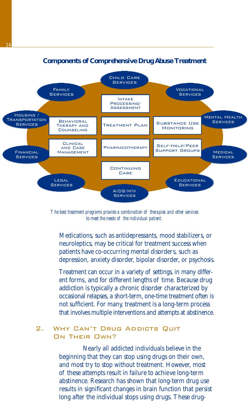

## *Components of Comprehensive Drug Abuse Treatment*

*The best treatment programs provide a combination of therapies and other services to meet the needs of the individual patient.*

Medications, such as antidepressants, mood stabilizers, or neuroleptics, may be critical for treatment success when patients have co-occurring mental disorders, such as depression, anxiety disorder, bipolar disorder, or psychosis.

Treatment can occur in a variety of settings, in many different forms, and for different lengths of time. Because drug addiction is typically a chronic disorder characterized by occasional relapses, a short-term, one-time treatment often is not sufficient. For many, treatment is a long-term process that involves multiple interventions and attempts at abstinence.

### 2. Why Can't Drug Addicts Quit On Their Own?

Nearly all addicted individuals believe in the beginning that they can stop using drugs on their own, and most try to stop without treatment. However, most of these attempts result in failure to achieve long-term abstinence. Research has shown that long-term drug use results in significant changes in brain function that persist long after the individual stops using drugs. These drug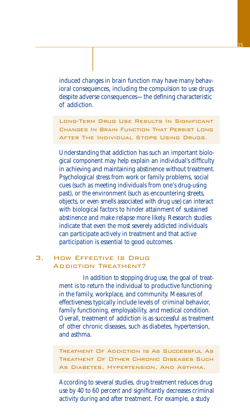induced changes in brain function may have many behavioral consequences, including the compulsion to use drugs despite adverse consequences—the defining characteristic of addiction.

LONG-TERM DRUG USE RESULTS IN SIGNIFICANT CHANGES IN BRAIN FUNCTION THAT PERSIST LONG After The Individual Stops Using Drugs.

Understanding that addiction has such an important biological component may help explain an individual's difficulty in achieving and maintaining abstinence without treatment. Psychological stress from work or family problems, social cues (such as meeting individuals from one's drug-using past), or the environment (such as encountering streets, objects, or even smells associated with drug use) can interact with biological factors to hinder attainment of sustained abstinence and make relapse more likely. Research studies indicate that even the most severely addicted individuals can participate actively in treatment and that active participation is essential to good outcomes.

## 3. How Effective Is Drug Addiction Treatment?

In addition to stopping drug use, the goal of treatment is to return the individual to productive functioning in the family, workplace, and community. Measures of effectiveness typically include levels of criminal behavior, family functioning, employability, and medical condition. Overall, treatment of addiction is as successful as treatment of other chronic diseases, such as diabetes, hypertension, and asthma.

TREATMENT OF ADDICTION IS AS SUCCESSFUL AS TREATMENT OF OTHER CHRONIC DISEASES SUCH As Diabetes, Hypertension, And Asthma.

According to several studies, drug treatment reduces drug use by 40 to 60 percent and significantly decreases criminal activity during and after treatment. For example, a study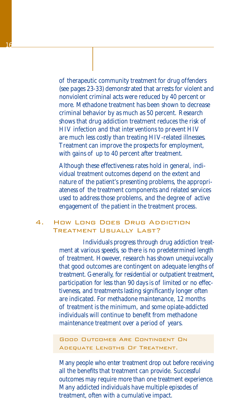of therapeutic community treatment for drug offenders (see pages 23-33) demonstrated that arrests for violent and nonviolent criminal acts were reduced by 40 percent or more. Methadone treatment has been shown to decrease criminal behavior by as much as 50 percent. Research shows that drug addiction treatment reduces the risk of HIV infection and that interventions to prevent HIV are much less costly than treating HIV-related illnesses. Treatment can improve the prospects for employment, with gains of up to 40 percent after treatment.

Although these effectiveness rates hold in general, individual treatment outcomes depend on the extent and nature of the patient's presenting problems, the appropriateness of the treatment components and related services used to address those problems, and the degree of active engagement of the patient in the treatment process.

## 4. How Long Does Drug Addiction Treatment Usually Last?

Individuals progress through drug addiction treatment at various speeds, so there is no predetermined length of treatment. However, research has shown unequivocally that good outcomes are contingent on adequate lengths of treatment. Generally, for residential or outpatient treatment, participation for less than 90 days is of limited or no effectiveness, and treatments lasting significantly longer often are indicated. For methadone maintenance, 12 months of treatment is the minimum, and some opiate-addicted individuals will continue to benefit from methadone maintenance treatment over a period of years.

## Good Outcomes Are Contingent On Adequate Lengths Of Treatment.

Many people who enter treatment drop out before receiving all the benefits that treatment can provide. Successful outcomes may require more than one treatment experience. Many addicted individuals have multiple episodes of treatment, often with a cumulative impact.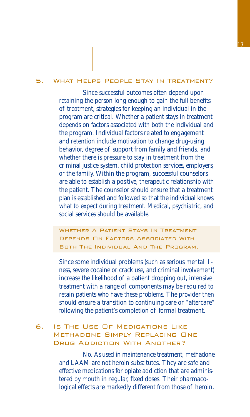#### 5. WHAT HELPS PEOPLE STAY IN TREATMENT?

Since successful outcomes often depend upon retaining the person long enough to gain the full benefits of treatment, strategies for keeping an individual in the program are critical. Whether a patient stays in treatment depends on factors associated with both the individual and the program. Individual factors related to engagement and retention include motivation to change drug-using behavior, degree of support from family and friends, and whether there is pressure to stay in treatment from the criminal justice system, child protection services, employers, or the family. Within the program, successful counselors are able to establish a positive, the rapeutic relationship with the patient. The counselor should ensure that a treatment plan is established and followed so that the individual knows what to expect during treatment. Medical, psychiatric, and social services should be available.

Whether A Patient Stays In Treatment Depends On Factors Associated With Both The Individual And The Program.

Since some individual problems (such as serious mental illness, severe cocaine or crack use, and criminal involvement) increase the likelihood of a patient dropping out, intensive treatment with a range of components may be required to retain patients who have these problems. The provider then should ensure a transition to continuing care or "aftercare" following the patient's completion of formal treatment.

# 6. Is The Use Of Medications Like Methadone Simply Replacing One Drug Addiction With Another?

No. As used in maintenance treatment, methadone and LAAM are not heroin substitutes. They are safe and effective medications for opiate addiction that are administered by mouth in regular, fixed doses. Their pharmacological effects are markedly different from those of heroin.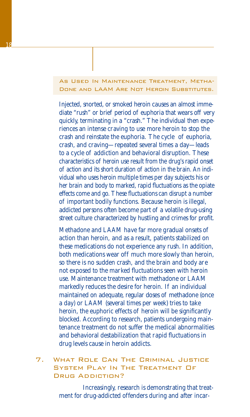#### As Used In Maintenance Treatment, Metha-DONE AND LAAM ARE NOT HEROIN SUBSTITUTES.

Injected, snorted, or smoked heroin causes an almost immediate "rush" or brief period of euphoria that wears off very quickly, terminating in a "crash." The individual then experiences an intense craving to use more heroin to stop the crash and reinstate the euphoria. The cycle of euphoria, crash, and craving—repeated several times a day—leads to a cycle of addiction and behavioral disruption. These characteristics of heroin use result from the drug's rapid onset of action and its short duration of action in the brain. An individual who uses heroin multiple times per day subjects his or her brain and body to marked, rapid fluctuations as the opiate effects come and go. These fluctuations can disrupt a number of important bodily functions. Because heroin is illegal, addicted persons often become part of a volatile drug-using street culture characterized by hustling and crimes for profit.

Methadone and LAAM have far more gradual onsets of action than heroin, and as a result, patients stabilized on these medications do not experience any rush. In addition, both medications wear off much more slowly than heroin, so there is no sudden crash, and the brain and body are not exposed to the marked fluctuations seen with heroin use. Maintenance treatment with methadone or LAAM markedly reduces the desire for heroin. If an individual maintained on adequate, regular doses of methadone (once a day) or LAAM (several times per week) tries to take heroin, the euphoric effects of heroin will be significantly blocked. According to research, patients undergoing maintenance treatment do not suffer the medical abnormalities and behavioral destabilization that rapid fluctuations in drug levels cause in heroin addicts.

# 7. What Role Can The Criminal Justice System Play In The Treatment Of DRUG ADDICTION?

Increasingly, research is demonstrating that treatment for drug-addicted offenders during and after incar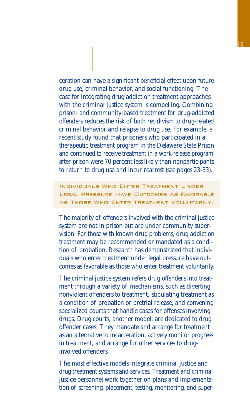ceration can have a significant beneficial effect upon future drug use, criminal behavior, and social functioning. The case for integrating drug addiction treatment approaches with the criminal justice system is compelling. Combining prison- and community-based treatment for drug-addicted offenders reduces the risk of both recidivism to drug-related criminal behavior and relapse to drug use. For example, a recent study found that prisoners who participated in a therapeutic treatment program in the Delaware State Prison and continued to receive treatment in a work-release program after prison were 70 percent less likely than nonparticipants to return to drug use and incur rearrest (see pages 23-33).

Individuals Who Enter Treatment Under LEGAL PRESSURE HAVE OUTCOMES AS FAVORABLE AS THOSE WHO ENTER TREATMENT VOLUNTARILY.

The majority of offenders involved with the criminal justice system are not in prison but are under community supervision. For those with known drug problems, drug addiction treatment may be recommended or mandated as a condition of probation. Research has demonstrated that individuals who enter treatment under legal pressure have outcomes as favorable as those who enter treatment voluntarily.

The criminal justice system refers drug offenders into treatment through a variety of mechanisms, such as diverting nonviolent offenders to treatment, stipulating treatment as a condition of probation or pretrial release, and convening specialized courts that handle cases for offenses involving drugs. Drug courts, another model, are dedicated to drug offender cases. They mandate and arrange for treatment as an alternative to incarceration, actively monitor progress in treatment, and arrange for other services to druginvolved offenders.

The most effective models integrate criminal justice and drug treatment systems and services. Treatment and criminal justice personnel work together on plans and implementation of screening, placement, testing, monitoring, and super-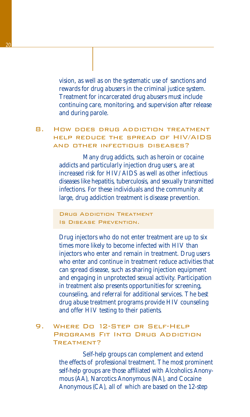vision, as well as on the systematic use of sanctions and rewards for drug abusers in the criminal justice system. Treatment for incarcerated drug abusers must include continuing care, monitoring, and supervision after release and during parole.

# 8. How does drug addiction treatment help reduce the spread of HIV/AIDS and other infectious diseases?

Many drug addicts, such as heroin or cocaine addicts and particularly injection drug users, are at increased risk for HIV/AIDS as well as other infectious diseases like hepatitis, tuberculosis, and sexually transmitted infections. For these individuals and the community at large, drug addiction treatment is disease prevention.

DRUG ADDICTION TREATMENT Is Disease Prevention.

Drug injectors who do not enter treatment are up to six times more likely to become infected with HIV than injectors who enter and remain in treatment. Drug users who enter and continue in treatment reduce activities that can spread disease, such as sharing injection equipment and engaging in unprotected sexual activity. Participation in treatment also presents opportunities for screening, counseling, and referral for additional services. The best drug abuse treatment programs provide HIV counseling and offer HIV testing to their patients.

# 9. Where Do 12-Step or Self-Help Programs Fit Into Drug Addiction Treatment?

Self-help groups can complement and extend the effects of professional treatment. The most prominent self-help groups are those affiliated with Alcoholics Anonymous (AA), Narcotics Anonymous (NA), and Cocaine Anonymous (CA), all of which are based on the 12-step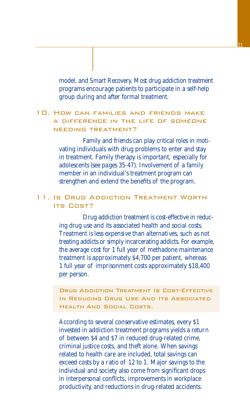model, and Smart Recovery. Most drug addiction treatment programs encourage patients to participate in a self-help group during and after formal treatment.

# 10. How can families and friends make a difference in the life of someone needing treatment?

Family and friends can play critical roles in motivating individuals with drug problems to enter and stay in treatment. Family therapy is important, especially for adolescents (see pages 35-47). Involvement of a family member in an individual's treatment program can strengthen and extend the benefits of the program.

# 11. Is Drug Addiction Treatment Worth Its Cost?

Drug addiction treatment is cost-effective in reducing drug use and its associated health and social costs. Treatment is less expensive than alternatives, such as not treating addicts or simply incarcerating addicts. For example, the average cost for 1 full year of methadone maintenance treatment is approximately \$4,700 per patient, whereas 1 full year of imprisonment costs approximately \$18,400 per person.

DRUG ADDICTION TREATMENT IS COST-EFFECTIVE In Reducing Drug Use And Its Associated Health And Social Costs.

According to several conservative estimates, every \$1 invested in addiction treatment programs yields a return of between \$4 and \$7 in reduced drug-related crime, criminal justice costs, and theft alone. When savings related to health care are included, total savings can exceed costs by a ratio of 12 to 1. Major savings to the individual and society also come from significant drops in interpersonal conflicts, improvements in workplace productivity, and reductions in drug-related accidents.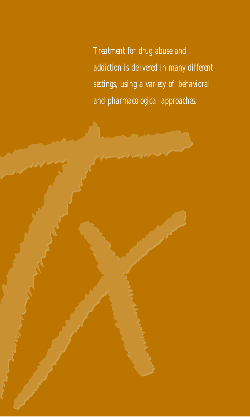*Treatment for drug abuse and addiction is delivered in many different settings, using a variety of behavioral and pharmacological approaches.*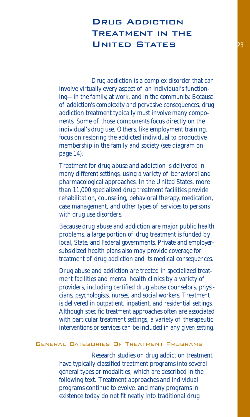Drug addiction is a complex disorder that can involve virtually every aspect of an individual's functioning—in the family, at work, and in the community. Because of addiction's complexity and pervasive consequences, drug addiction treatment typically must involve many components. Some of those components focus directly on the individual's drug use. Others, like employment training, focus on restoring the addicted individual to productive membership in the family and society (see diagram on page 14).

Treatment for drug abuse and addiction is delivered in many different settings, using a variety of behavioral and pharmacological approaches. In the United States, more than 11,000 specialized drug treatment facilities provide rehabilitation, counseling, behavioral therapy, medication, case management, and other types of services to persons with drug use disorders.

Because drug abuse and addiction are major public health problems, a large portion of drug treatment is funded by local, State, and Federal governments. Private and employersubsidized health plans also may provide coverage for treatment of drug addiction and its medical consequences.

Drug abuse and addiction are treated in specialized treatment facilities and mental health clinics by a variety of providers, including certified drug abuse counselors, physicians, psychologists, nurses, and social workers. Treatment is delivered in outpatient, inpatient, and residential settings. Although specific treatment approaches often are associated with particular treatment settings, a variety of therapeutic interventions or services can be included in any given setting.

#### General Categories Of Treatment Programs

Research studies on drug addiction treatment have typically classified treatment programs into several general types or modalities, which are described in the following text. Treatment approaches and individual programs continue to evolve, and many programs in existence today do not fit neatly into traditional drug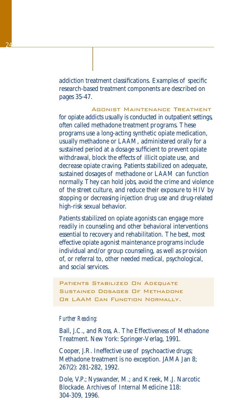addiction treatment classifications. Examples of specific research-based treatment components are described on pages 35-47.

Agonist Maintenance Treatment for opiate addicts usually is conducted in outpatient settings, often called methadone treatment programs. These programs use a long-acting synthetic opiate medication, usually methadone or LAAM, administered orally for a sustained period at a dosage sufficient to prevent opiate withdrawal, block the effects of illicit opiate use, and decrease opiate craving. Patients stabilized on adequate, sustained dosages of methadone or LAAM can function normally. They can hold jobs, avoid the crime and violence of the street culture, and reduce their exposure to HIV by stopping or decreasing injection drug use and drug-related high-risk sexual behavior.

Patients stabilized on opiate agonists can engage more readily in counseling and other behavioral interventions essential to recovery and rehabilitation. The best, most effective opiate agonist maintenance programs include individual and/or group counseling, as well as provision of, or referral to, other needed medical, psychological, and social services.

PATIENTS STABILIZED ON ADEQUATE Sustained Dosages Of Methadone Or LAAM Can Function Normally.

#### *Further Reading:*

Ball, J.C., and Ross, A. The Effectiveness of Methadone Treatment. New York: Springer-Verlag, 1991.

Cooper, J.R. Ineffective use of psychoactive drugs; Methadone treatment is no exception. JAMA Jan 8; 267(2): 281-282, 1992.

Dole, V.P.; Nyswander, M.; and Kreek, M.J. Narcotic Blockade. Archives of Internal Medicine 118: 304-309, 1996.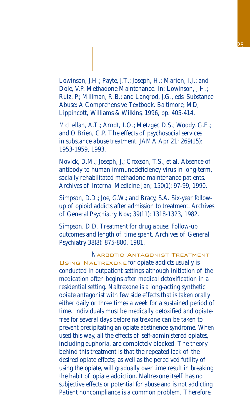Lowinson, J.H.; Payte, J.T.; Joseph, H.; Marion, I.J.; and Dole, V.P. Methadone Maintenance. In: Lowinson, J.H.; Ruiz, P.; Millman, R.B.; and Langrod, J.G., eds. Substance Abuse: A Comprehensive Textbook. Baltimore, MD, Lippincott, Williams & Wilkins, 1996, pp. 405-414.

McLellan, A.T.; Arndt, I.O.; Metzger, D.S.; Woody, G.E.; and O'Brien, C.P. The effects of psychosocial services in substance abuse treatment. JAMA Apr 21; 269(15): 1953-1959, 1993.

Novick, D.M.; Joseph, J.; Croxson, T.S., et al. Absence of antibody to human immunodeficiency virus in long-term, socially rehabilitated methadone maintenance patients. Archives of Internal Medicine Jan; 150(1): 97-99, 1990.

Simpson, D.D.; Joe, G.W.; and Bracy, S.A. Six-year followup of opioid addicts after admission to treatment. Archives of General Psychiatry Nov; 39(11): 1318-1323, 1982.

Simpson, D.D. Treatment for drug abuse; Follow-up outcomes and length of time spent. Archives of General Psychiatry 38(8): 875-880, 1981.

#### Narcotic Antagonist Treatment

Using Naltrexone for opiate addicts usually is conducted in outpatient settings although initiation of the medication often begins after medical detoxification in a residential setting. Naltrexone is a long-acting synthetic opiate antagonist with few side effects that is taken orally either daily or three times a week for a sustained period of time. Individuals must be medically detoxified and opiatefree for several days before naltrexone can be taken to prevent precipitating an opiate abstinence syndrome. When used this way, all the effects of self-administered opiates, including euphoria, are completely blocked. The theory behind this treatment is that the repeated lack of the desired opiate effects, as well as the perceived futility of using the opiate, will gradually over time result in breaking the habit of opiate addiction. Naltrexone itself has no subjective effects or potential for abuse and is not addicting. Patient noncompliance is a common problem. Therefore,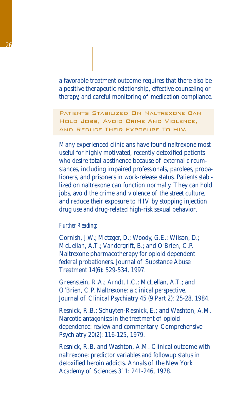a favorable treatment outcome requires that there also be a positive therapeutic relationship, effective counseling or therapy, and careful monitoring of medication compliance.

Patients Stabilized On Naltrexone Can Hold Jobs, Avoid Crime And Violence, And Reduce Their Exposure To HIV.

Many experienced clinicians have found naltrexone most useful for highly motivated, recently detoxified patients who desire total abstinence because of external circumstances, including impaired professionals, parolees, probationers, and prisoners in work-release status. Patients stabilized on naltrexone can function normally. They can hold jobs, avoid the crime and violence of the street culture, and reduce their exposure to HIV by stopping injection drug use and drug-related high-risk sexual behavior.

#### *Further Reading:*

Cornish, J.W.; Metzger, D.; Woody, G.E.; Wilson, D.; McLellan, A.T.; Vandergrift, B.; and O'Brien, C.P. Naltrexone pharmacotherapy for opioid dependent federal probationers. Journal of Substance Abuse Treatment 14(6): 529-534, 1997.

Greenstein, R.A.; Arndt, I.C.; McLellan, A.T.; and O'Brien, C.P. Naltrexone: a clinical perspective. Journal of Clinical Psychiatry 45 (9 Part 2): 25-28, 1984.

Resnick, R.B.; Schuyten-Resnick, E.; and Washton, A.M. Narcotic antagonists in the treatment of opioid dependence: review and commentary. Comprehensive Psychiatry 20(2): 116-125, 1979.

Resnick, R.B. and Washton, A.M. Clinical outcome with naltrexone: predictor variables and followup status in detoxified heroin addicts. Annals of the New York Academy of Sciences 311: 241-246, 1978.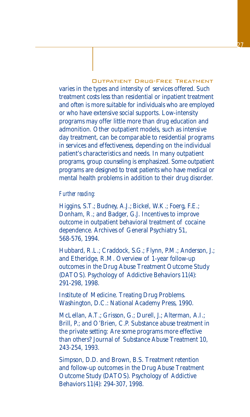#### Outpatient Drug-Free Treatment

varies in the types and intensity of services offered. Such treatment costs less than residential or inpatient treatment and often is more suitable for individuals who are employed or who have extensive social supports. Low-intensity programs may offer little more than drug education and admonition. Other outpatient models, such as intensive day treatment, can be comparable to residential programs in services and effectiveness, depending on the individual patient's characteristics and needs. In many outpatient programs, group counseling is emphasized. Some outpatient programs are designed to treat patients who have medical or mental health problems in addition to their drug disorder.

#### *Further reading:*

Higgins, S.T.; Budney, A.J.; Bickel, W.K.; Foerg, F.E.; Donham, R.; and Badger, G.J. Incentives to improve outcome in outpatient behavioral treatment of cocaine dependence. Archives of General Psychiatry 51, 568-576, 1994.

Hubbard, R.L .; Craddock, S.G .; Flynn, P.M .; Anderson, J .; and Etheridge, R.M. Overview of 1-year follow-up outcomes in the Drug Abuse Treatment Outcome Study (DATOS). Psychology of Addictive Behaviors 11(4): 291-298, 1998.

Institute of Medicine. Treating Drug Problems. Washington, D.C.: National Academy Press, 1990.

McLellan, A.T.; Grisson, G.; Durell, J.; Alterman, A.I.; Brill, P.; and O'Brien, C.P. Substance abuse treatment in the private setting: Are some programs more effective than others? Journal of Substance Abuse Treatment 10, 243-254, 1993.

Simpson, D.D. and Brown, B.S. Treatment retention and follow-up outcomes in the Drug Abuse Treatment Outcome Study (DATOS). Psychology of Addictive Behaviors 11(4): 294-307, 1998.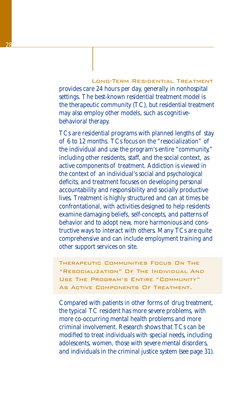LONG-TERM RESIDENTIAL TREATMENT provides care 24 hours per day, generally in nonhospital settings. The best-known residential treatment model is the therapeutic community (TC), but residential treatment may also employ other models, such as cognitivebehavioral therapy.

TCs are residential programs with planned lengths of stay of 6 to 12 months. TCs focus on the "resocialization" of the individual and use the program's entire "community," including other residents, staff, and the social context, as active components of treatment. Addiction is viewed in the context of an individual's social and psychological deficits, and treatment focuses on developing personal accountability and responsibility and socially productive lives. Treatment is highly structured and can at times be confrontational, with activities designed to help residents examine damaging beliefs, self-concepts, and patterns of behavior and to adopt new, more harmonious and constructive ways to interact with others. Many TCs are quite comprehensive and can include employment training and other support services on site.

Therapeutic Communities Focus On The "Resocialization" Of The Individual And Use The Program's Entire "Community" As Active Components Of Treatment.

Compared with patients in other forms of drug treatment, the typical TC resident has more severe problems, with more co-occurring mental health problems and more criminal involvement. Research shows that TCs can be modified to treat individuals with special needs, including adolescents, women, those with severe mental disorders, and individuals in the criminal justice system (see page 31).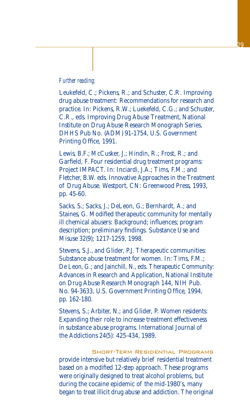#### *Further reading:*

Leukefeld, C.; Pickens, R.; and Schuster, C.R. Improving drug abuse treatment: Recommendations for research and practice. In: Pickens, R.W.; Luekefeld, C.G.; and Schuster, C.R., eds. Improving Drug Abuse Treatment, National Institute on Drug Abuse Research Monograph Series, DHHS Pub No. (ADM) 91-1754, U.S. Government Printing Office, 1991.

Lewis, B.F.; McCusker, J.; Hindin, R.; Frost, R.; and Garfield, F. Four residential drug treatment programs: Project IMPACT. In: Inciardi, J.A.; Tims, F.M.; and Fletcher, B.W. eds. Innovative Approaches in the Treatment of Drug Abuse. Westport, CN: Greenwood Press, 1993, pp. 45-60.

Sacks, S.; Sacks, J.; DeLeon, G.; Bernhardt, A.; and Staines, G. Modified therapeutic community for mentally ill chemical abusers: Background; influences; program description; preliminary findings. Substance Use and Misuse 32(9); 1217-1259, 1998.

Stevens, S.J., and Glider, P.J. Therapeutic communities: Substance abuse treatment for women. In: Tims, F.M.; De Leon, G.; and Jainchill, N., eds. Therapeutic Community: Advances in Research and Application, National Institute on Drug Abuse Research Monograph 144, NIH Pub. No. 94-3633, U.S. Government Printing Office, 1994, pp. 162-180.

Stevens, S.; Arbiter, N.; and Glider, P. Women residents: Expanding their role to increase treatment effectiveness in substance abuse programs. International Journal of the Addictions 24(5): 425-434, 1989.

#### SHORT-TERM RESIDENTIAL PROGRAMS

provide intensive but relatively brief residential treatment based on a modified 12-step approach. These programs were originally designed to treat alcohol problems, but during the cocaine epidemic of the mid-1980's, many began to treat illicit drug abuse and addiction. The original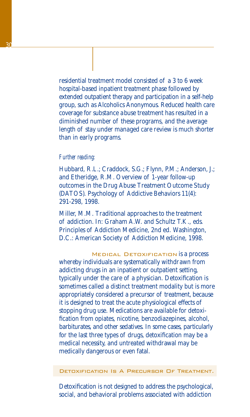residential treatment model consisted of a 3 to 6 week hospital-based inpatient treatment phase followed by extended outpatient therapy and participation in a self-help group, such as Alcoholics Anonymous. Reduced health care coverage for substance abuse treatment has resulted in a diminished number of these programs, and the average length of stay under managed care review is much shorter than in early programs.

# *Further reading:*

Hubbard, R.L .; Craddock, S.G .; Flynn, P.M .; Anderson, J .; and Etheridge, R.M. Overview of 1-year follow-up outcomes in the Drug Abuse Treatment Outcome Study (DATOS). Psychology of Addictive Behaviors 11(4): 291-298, 1998.

Miller, M.M. Traditional approaches to the treatment of addiction. In: Graham A.W. and Schultz T.K., eds. Principles of Addiction Medicine, 2nd ed. Washington, D.C.: American Society of Addiction Medicine, 1998.

#### Medical Detoxification is a process

whereby individuals are systematically withdrawn from addicting drugs in an inpatient or outpatient setting, typically under the care of a physician. Detoxification is sometimes called a distinct treatment modality but is more ap propriately considered a precursor of treatment, because it is designed to treat the acute physiological effects of stopping drug use. Medications are available for detoxification from opiates, nicotine, benzodiazepines, alcohol, b ar biturates, and other sedatives. In some cases, particularly for the last three types of drugs, detoxification may be a medical necessity, and untreated withdrawal may be medically dangerous or even fatal.

#### DETOXIFICATION IS A PRECURSOR OF TREATMENT.

Detoxification is not designed to address the psychological, social, and behavioral problems associated with addiction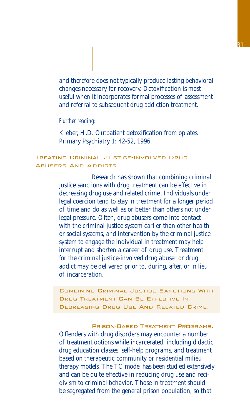and therefore does not typically produce lasting behavioral changes necessary for recovery. Detoxification is most useful when it incorporates formal processes of assessment and referral to subsequent drug addiction treatment.

#### *Further reading:*

Kleber, H.D. Outpatient detoxification from opiates. Primary Psychiatry 1: 42-52, 1996.

## Treating Criminal Justice-Involved Drug Abusers And Addicts

Research has shown that combining criminal justice sanctions with drug treatment can be effective in decreasing drug use and related crime. Individuals under legal coercion tend to stay in treatment for a longer period of time and do as well as or better than others not under legal pressure. Often, drug abusers come into contact with the criminal justice system earlier than other health or social systems, and intervention by the criminal justice system to engage the individual in treatment may help interrupt and shorten a career of drug use. Treatment for the criminal justice-involved drug abuser or drug addict may be delivered prior to, during, after, or in lieu of incarceration.

Combining Criminal Justice Sanctions With Drug Treatment Can Be Effective In Decreasing Drug Use And Related Crime.

PRISON-BASED TREATMENT PROGRAMS.

Offenders with drug disorders may encounter a number of treatment options while incarcerated, including didactic drug education classes, self-help programs, and treatment based on therapeutic community or residential milieu therapy models. The TC model has been studied extensively and can be quite effective in reducing drug use and recidivism to criminal behavior. Those in treatment should be segregated from the general prison population, so that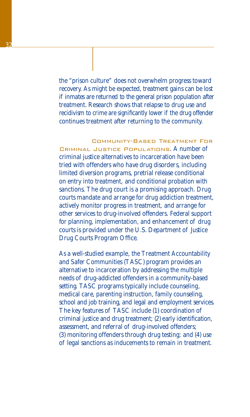the "prison culture" does not overwhelm progress toward recovery. As might be expected, treatment gains can be lost if inmates are returned to the general prison population after treatment. Research shows that relapse to drug use and recidivism to crime are significantly lower if the drug offender continues treatment after returning to the community.

COMMUNITY-BASED TREATMENT FOR Criminal Justice Populations. A number of criminal justice alternatives to incarceration have been tried with offenders who have drug disorders, including limited diversion programs, pretrial release conditional on entry into treatment, and conditional probation with sanctions. The drug court is a promising approach. Drug courts mandate and arrange for drug addiction treatment, actively monitor progress in treatment, and arrange for other services to drug-involved offenders. Federal support for planning, implementation, and enhancement of drug courts is provided under the U.S. Department of Justice Drug Courts Program Office.

As a well-studied example, the Treatment Accountability and Safer Communities (TASC) program provides an alternative to incarceration by addressing the multiple needs of drug-addicted offenders in a community-based setting. TASC programs typically include counseling, medical care, parenting instruction, family counseling, school and job training, and legal and employment services. The key features of TASC include (1) coordination of criminal justice and drug treatment; (2) early identification, assessment, and referral of drug-involved offenders; (3) monitoring offenders through drug testing; and (4) use of legal sanctions as inducements to remain in treatment.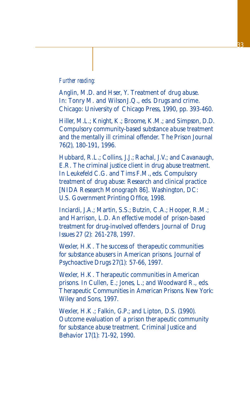#### *Further reading:*

Anglin, M.D. and Hser, Y. Treatment of drug abuse. In: Tonry M. and Wilson J.Q., eds. Drugs and crime. Chicago: University of Chicago Press, 1990, pp. 393-460.

Hiller, M.L.; Knight, K.; Broome, K.M.; and Simpson, D.D. Compulsory community-based substance abuse treatment and the mentally ill criminal offender. The Prison Journal 76(2), 180-191, 1996.

Hubbard, R.L.; Collins, J.J.; Rachal, J.V.; and Cavanaugh, E.R. The criminal justice client in drug abuse treatment. In Leukefeld C.G. and Tims F.M., eds. Compulsory treatment of drug abuse: Research and clinical practice [NIDA Research Monograph 86]. Washington, DC: U.S. Government Printing Office, 1998.

Inciardi, J.A.; Martin, S.S.; Butzin, C.A.; Hooper, R.M.; and Harrison, L.D. An effective model of prison-based treatment for drug-involved offenders. Journal of Drug Issues 27 (2): 261-278, 1997.

Wexler, H.K. The success of therapeutic communities for substance abusers in American prisons. Journal of Psychoactive Drugs 27(1): 57-66, 1997.

Wexler, H.K. Therapeutic communities in American prisons. In Cullen, E.; Jones, L.; and Woodward R., eds. The rapeutic Communities in American Prisons. New York: Wiley and Sons, 1997.

Wexler, H.K.; Falkin, G.P.; and Lipton, D.S. (1990). Outcome evaluation of a prison therapeutic community for substance abuse treatment. Criminal Justice and Behavior 17(1): 71-92, 1990.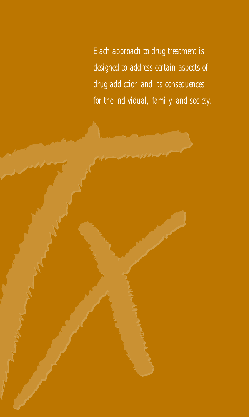*Each approach to drug treatment is designed to address certain aspects of drug addiction and its consequences for the individual, family, and society.*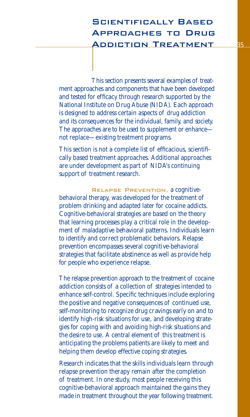This section presents several examples of treatment approaches and components that have been developed and tested for efficacy through research supported by the National Institute on Drug Abuse (NIDA). Each approach is designed to address certain aspects of drug addiction and its consequences for the individual, family, and society. The approaches are to be used to supplement or enhance not replace—existing treatment programs.

This section is not a complete list of efficacious, scientifically based treatment approaches. Additional approaches are under development as part of NIDA's continuing support of treatment research.

# RELAPSE PREVENTION, a cognitive-

behavioral therapy, was developed for the treatment of problem drinking and adapted later for cocaine addicts. Cognitive-behavioral strategies are based on the theory that learning processes play a critical role in the development of maladaptive behavioral patterns. Individuals learn to identify and correct problematic behaviors. Relapse prevention encompasses several cognitive-behavioral strategies that facilitate abstinence as well as provide help for people who experience relapse.

The relapse prevention approach to the treatment of cocaine addiction consists of a collection of strategies intended to enhance self-control. Specific techniques include exploring the positive and negative consequences of continued use, self-monitoring to recognize drug cravings early on and to identify high-risk situations for use, and developing strategies for coping with and avoiding high-risk situations and the desire to use. A central element of this treatment is anticipating the problems patients are likely to meet and helping them develop effective coping strategies.

Research indicates that the skills individuals learn through relapse prevention therapy remain after the completion of treatment. In one study, most people receiving this cognitive-behavioral approach maintained the gains they made in treatment throughout the year following treatment.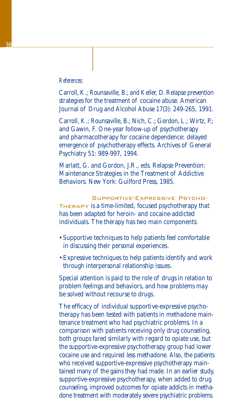## *References:*

Carroll, K .; Rounsaville, B .; and Keller, D. Relapse prevention strategies for the treatment of cocaine abuse. American Journal of Drug and Alcohol Abuse 17(3): 249-265, 1991.

Carroll, K .; Rounsaville, B .; Nich, C .; Gordon, L .; Wirtz, P .; and Gawin, F. One-year follow-up of psychotherapy and pharmacotherapy for cocaine dependence: delayed emergence of psychotherapy effects. Archives of General Psychiatry 51: 989-997, 1994.

Marlatt, G. and Gordon, J.R., eds. Relapse Prevention: Maintenance Strategies in the Treatment of Addictive Behaviors. New York: Guilford Press, 1985.

Supportive-Expressive Psycho-

Therapy is a time-limited, focused psychotherapy that has been adapted for heroin- and cocaine-addicted individuals. The therapy has two main components:

- Supportive techniques to help patients feel comfortable in discussing their personal experiences.
- Expressive techniques to help patients identify and work through interpersonal relationship issues.

Special attention is paid to the role of drugs in relation to problem feelings and behaviors, and how problems may be solved without recourse to drugs.

The efficacy of individual supportive-expressive psychotherapy has been tested with patients in methadone maintenance treatment who had psychiatric problems. In a comparison with patients receiving only drug counseling, both groups fared similarly with regard to opiate use, but the supportive-expressive psychotherapy group had lower cocaine use and required less methadone. Also, the patients who received supportive-expressive psychotherapy maintained many of the gains they had made. In an earlier study, supportive-expressive psychotherapy, when added to drug counseling, improved outcomes for opiate addicts in methadone treatment with moderately severe psychiatric problems.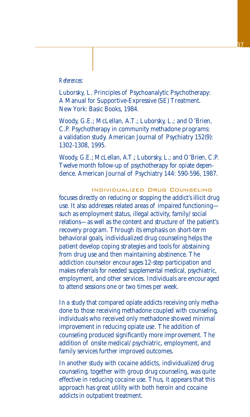## *References:*

Luborsky, L. Principles of Psychoanalytic Psychotherapy: A Manual for Supportive-Expressive (SE) Treatment. New York: Basic Books, 1984.

Woody, G.E.; McLellan, A.T.; Luborsky, L.; and O'Brien, C.P. Psychotherapy in community methadone programs: a validation study. American Journal of Psychiatry 152(9): 1302-1308, 1995.

Woody, G.E.; McLellan, A.T.; Luborsky, L.; and O'Brien, C.P. Twelve month follow-up of psychotherapy for opiate dependence. American Journal of Psychiatry 144: 590-596, 1987.

#### Individualized Drug Counseling

focuses directly on reducing or stopping the addict's illicit drug use. It also addresses related areas of impaired functioningsuch as employment status, illegal activity, family/social relations—as well as the content and structure of the patient's recovery program. Through its emphasis on short-term behavioral goals, individualized drug counseling helps the patient develop coping strategies and tools for abstaining from drug use and then maintaining abstinence. The addiction counselor encourages 12-step participation and makes referrals for needed supplemental medical, psychiatric, employment, and other services. Individuals are encouraged to attend sessions one or two times per week.

In a study that compared opiate addicts receiving only methadone to those receiving methadone coupled with counseling, individuals who received only methadone showed minimal improvement in reducing opiate use. The addition of counseling produced significantly more improvement. The addition of onsite medical/psychiatric, employment, and family services further improved outcomes.

In another study with cocaine addicts, individualized drug counseling, together with group drug counseling, was quite effective in reducing cocaine use. Thus, it appears that this approach has great utility with both heroin and cocaine addicts in outpatient treatment.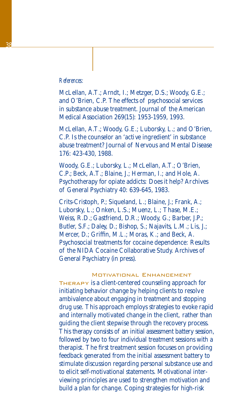## *References:*

McLellan, A.T.; Arndt, I.; Metzger, D.S.; Woody, G.E.; and O'Brien, C.P. The effects of psychosocial services in substance abuse treatment. Journal of the American Medical Association 269(15): 1953-1959, 1993.

McLellan, A.T.; Woody, G.E.; Luborsky, L.; and O'Brien, C.P. Is the counselor an 'active ingredient' in substance abuse treatment? Journal of Nervous and Mental Disease 176: 423-430, 1988.

Woody, G.E.; Luborsky, L.; McLellan, A.T.; O'Brien, C.P.; Beck, A.T.; Blaine, J.; Herman, I.; and Hole, A. Psychotherapy for opiate addicts: Does it help? Archives of General Psychiatry 40: 639-645, 1983.

Crits-Cristoph, P.; Siqueland, L.; Blaine, J.; Frank, A.; Luborsky, L.; Onken, L.S.; Muenz, L.; Thase, M.E.; Weiss, R.D.; Gastfriend, D.R.; Woody, G.; Barber, J.P.; Butler, S.F.; Daley, D.; Bishop, S.; Najavits, L.M.; Lis, J.; Mercer, D.; Griffin, M.L.; Moras, K.; and Beck, A. Psychosocial treatments for cocaine dependence: Results of the NIDA Cocaine Collaborative Study. Archives of General Psychiatry (in press).

#### Motivational Enhancement

Therapy is a client-centered counseling approach for initiating behavior change by helping clients to resolve ambivalence about engaging in treatment and stopping drug use. This approach employs strategies to evoke rapid and internally motivated change in the client, rather than guiding the client stepwise through the recovery process. This therapy consists of an initial assessment battery session, followed by two to four individual treatment sessions with a therapist. The first treatment session focuses on providing feedback generated from the initial assessment battery to stimulate discussion regarding personal substance use and to elicit self-motivational statements. Motivational interviewing principles are used to strengthen motivation and build a plan for change. Coping strategies for high-risk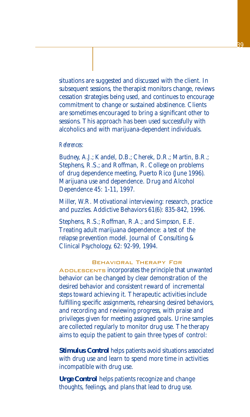situations are suggested and discussed with the client. In subsequent sessions, the therapist monitors change, reviews cessation strategies being used, and continues to encourage commitment to change or sustained abstinence. Clients are sometimes encouraged to bring a significant other to sessions. This approach has been used successfully with alcoholics and with marijuana-dependent individuals.

#### *References:*

Budney, A.J.; Kandel, D.B.; Cherek, D.R.; Martin, B.R.; Stephens, R.S.; and Roffman, R. College on problems of drug dependence meeting, Puerto Rico (June 1996). Marijuana use and dependence. Drug and Alcohol Dependence 45: 1-11, 1997.

Miller, W.R. Motivational interviewing: research, practice and puzzles. Addictive Behaviors 61(6): 835-842, 1996.

Stephens, R.S.; Roffman, R.A.; and Simpson, E.E. Treating adult marijuana dependence: a test of the relapse prevention model. Journal of Consulting & Clinical Psychology, 62: 92-99, 1994.

#### Behavioral Therapy For

AD OLESCENTS incorporates the principle that unwanted behavior can be changed by clear demonstration of the desired behavior and consistent reward of incremental steps toward achieving it. Therapeutic activities include fulfilling specific assignments, rehearsing desired behaviors, and recording and reviewing progress, with praise and privileges given for meeting assigned goals. Urine samples are collected regularly to monitor drug use. The therapy aims to equip the patient to gain three types of control:

**Stimulus Control** helps patients avoid situations associated with drug use and learn to spend more time in activities incompatible with drug use.

*Urge Control* helps patients recognize and change thoughts, feelings, and plans that lead to drug use.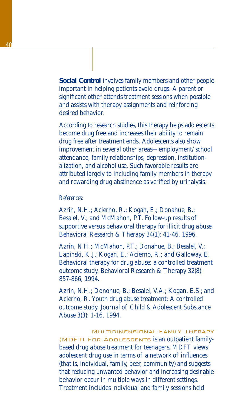**Social Control** involves family members and other people important in helping patients avoid drugs. A parent or significant other attends treatment sessions when possible and assists with therapy assignments and reinforcing desired behavior.

According to research studies, this therapy helps adolescents become drug free and increases their ability to remain drug free after treatment ends. Adolescents also show improvement in several other areas—employment/school attendance, family relationships, depression, institutionalization, and alcohol use. Such favorable results are attributed largely to including family members in therapy and rewarding drug abstinence as verified by urinalysis.

#### *References:*

Azrin, N.H.; Acierno, R.; Kogan, E.; Donahue, B.; Besalel, V.; and McMahon, P.T. Follow-up results of supportive versus behavioral therapy for illicit drug abuse. Behavioral Research & Therapy 34(1): 41-46, 1996.

Azrin, N.H.; McMahon, P.T.; Donahue, B.; Besalel, V.; Lapinski, K.J.; Kogan, E.; Acierno, R.; and Galloway, E. Behavioral therapy for drug abuse: a controlled treatment outcome study. Behavioral Research & Therapy 32(8): 857-866, 1994.

Azrin, N.H.; Donohue, B.; Besalel, V.A.; Kogan, E.S.; and Acierno, R. Youth drug abuse treatment: A controlled outcome study. Journal of Child & Adolescent Substance Abuse 3(3): 1-16, 1994.

Multidimensional Family Therapy (MDFT) FOR ADOLESCENTS is an outpatient familybased drug abuse treatment for teenagers. MDFT views adolescent drug use in terms of a network of influences (that is, individual, family, peer, community) and suggests that reducing unwanted behavior and increasing desirable behavior occur in multiple ways in different settings. Treatment includes individual and family sessions held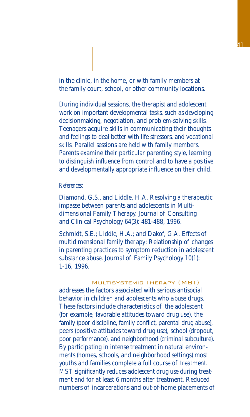in the clinic, in the home, or with family members at the family court, school, or other community locations. 41

During individual sessions, the therapist and adolescent work on important developmental tasks, such as developing decisionmaking, negotiation, and problem-solving skills. Teenagers acquire skills in communicating their thoughts and feelings to deal better with life stressors, and vocational skills. Parallel sessions are held with family members. Parents examine their particular parenting style, learning to distinguish influence from control and to have a positive and developmentally appropriate influence on their child.

#### *References:*

Diamond, G.S., and Liddle, H.A. Resolving a therapeutic impasse between parents and adolescents in Multidimensional Family Therapy. Journal of Consulting and Clinical Psychology 64(3): 481-488, 1996.

Schmidt, S.E.; Liddle, H.A.; and Dakof, G.A. Effects of multidimensional family therapy: Relationship of changes in parenting practices to symptom reduction in adolescent substance abuse. Journal of Family Psychology 10(1): 1-16, 1996.

# MULTISYSTEMIC THERAPY (MST)

addresses the factors associated with serious antisocial behavior in children and adolescents who abuse drugs. These factors include characteristics of the adolescent (for example, favorable attitudes toward drug use), the family (poor discipline, family conflict, parental drug abuse), peers (positive attitudes toward drug use), school (dropout, poor performance), and neighborhood (criminal subculture). By participating in intense treatment in natural environments (homes, schools, and neighborhood settings) most youths and families complete a full course of treatment. MST significantly reduces adolescent drug use during treatment and for at least 6 months after treatment. Reduced numbers of incarcerations and out-of-home placements of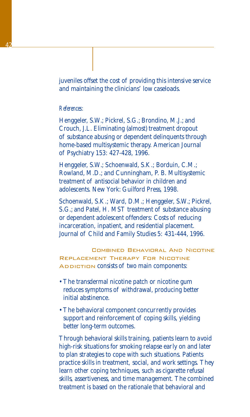juveniles offset the cost of providing this intensive service and maintaining the clinicians' low caseloads.

#### *References:*

Henggeler, S.W.; Pickrel, S.G.; Brondino, M.J.; and Crouch, J.L. Eliminating (almost) treatment dropout of substance abusing or dependent delinquents through home-based multisystemic therapy. American Journal of Psychiatry 153: 427-428, 1996.

Henggeler, S.W.; Schoenwald, S.K.; Borduin, C.M.; Rowland, M.D.; and Cunningham, P. B. Multisystemic treatment of antisocial behavior in children and adolescents. New York: Guilford Press, 1998.

Schoenwald, S.K.; Ward, D.M.; Henggeler, S.W.; Pickrel, S.G.; and Patel, H. MST treatment of substance abusing or dependent adolescent offenders: Costs of reducing incarceration, inpatient, and residential placement. Journal of Child and Family Studies 5: 431-444, 1996.

COMBINED BEHAVIORAL AND NICOTINE Replacement Therapy For Nicotine Addiction consists of two main components:

- The transdermal nicotine patch or nicotine gum reduces symptoms of withdrawal, producing better initial abstinence.
- The behavioral component concurrently provides support and reinforcement of coping skills, yielding better long-term outcomes.

Through behavioral skills training, patients learn to avoid high-risk situations for smoking relapse early on and later to plan strategies to cope with such situations. Patients practice skills in treatment, social, and work settings. They learn other coping techniques, such as cigarette refusal skills, assertiveness, and time management. The combined treatment is based on the rationale that behavioral and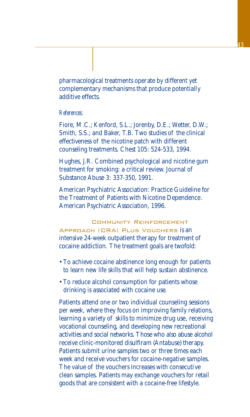pharmacological treatments operate by different yet complementary mechanisms that produce potentially additive effects.

#### *References:*

Fiore, M.C.; Kenford, S.L.; Jorenby, D.E.; Wetter, D.W.; Smith, S.S.; and Baker, T.B. Two studies of the clinical effectiveness of the nicotine patch with different counseling treatments. Chest 105: 524-533, 1994.

Hughes, J.R. Combined psychological and nicotine gum treatment for smoking: a critical review. Journal of Substance Abuse 3: 337-350, 1991.

American Psychiatric Association: Practice Guideline for the Treatment of Patients with Nicotine Dependence. American Psychiatric Association, 1996.

Community Reinforcement Approach (CRA) Plus Vouchers is an intensive 24-week outpatient therapy for treatment of cocaine addiction. The treatment goals are twofold:

- To achieve cocaine abstinence long enough for patients to learn new life skills that will help sustain abstinence.
- To reduce alcohol consumption for patients whose drinking is associated with cocaine use.

Patients attend one or two individual counseling sessions per week, where they focus on improving family relations, learning a variety of skills to minimize drug use, receiving vocational counseling, and developing new recreational activities and social networks. Those who also abuse alcohol receive clinic-monitored disulfiram (Antabuse) therapy. Patients submit urine samples two or three times each week and receive vouchers for cocaine-negative samples. The value of the vouchers increases with consecutive clean samples. Patients may exchange vouchers for retail goods that are consistent with a cocaine-free lifestyle.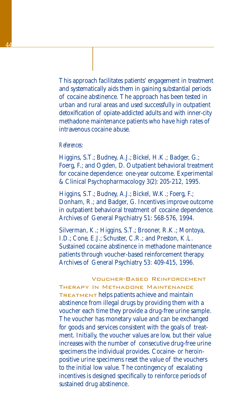This approach facilitates patients' engagement in treatment and systematically aids them in gaining substantial periods of cocaine abstinence. The approach has been tested in urban and rural areas and used successfully in outpatient detoxification of opiate-addicted adults and with inner-city methadone maintenance patients who have high rates of intravenous cocaine abuse.

#### *References:*

Higgins, S.T.; Budney, A.J.; Bickel, H.K.; Badger, G.; Foerg, F.; and Ogden, D. Outpatient behavioral treatment for cocaine dependence: one-year outcome. Experimental & Clinical Psychopharmacology 3(2): 205-212, 1995.

Higgins, S.T.; Budney, A.J.; Bickel, W.K.; Foerg, F.; Donham, R.; and Badger, G. Incentives improve outcome in outpatient behavioral treatment of cocaine dependence. Archives of General Psychiatry 51: 568-576, 1994.

Silverman, K.; Higgins, S.T.; Brooner, R.K.; Montoya, I.D.; Cone, E.J.; Schuster, C.R.; and Preston, K.L. Sustained cocaine abstinence in methadone maintenance patients through voucher-based reinforcement therapy. Archives of General Psychiatry 53: 409-415, 1996.

# Voucher-Based Reinforcement Therapy In Methadone Maintenance

Treatment helps patients achieve and maintain abstinence from illegal drugs by providing them with a voucher each time they provide a drug-free urine sample. The voucher has monetary value and can be exchanged for goods and services consistent with the goals of treatment. Initially, the voucher values are low, but their value increases with the number of consecutive drug-free urine specimens the individual provides. Cocaine- or heroinpositive urine specimens reset the value of the vouchers to the initial low value. The contingency of escalating incentives is designed specifically to reinforce periods of sustained drug abstinence.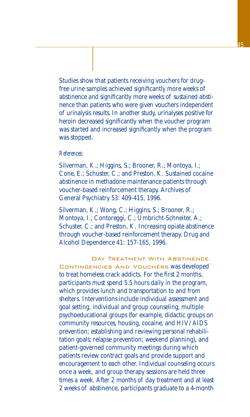Studies show that patients receiving vouchers for drugfree urine samples achieved significantly more weeks of abstinence and significantly more weeks of sustained abstinence than patients who were given vouchers independent of urinalysis results. In another study, urinalyses positive for heroin decreased significantly when the voucher program was started and increased significantly when the program was stopped.

#### *References:*

Silverman, K.; Higgins, S.; Brooner, R.; Montoya, I.; Cone, E.; Schuster, C.; and Preston, K. Sustained cocaine abstinence in methadone maintenance patients through voucher-based reinforcement therapy. Archives of General Psychiatry 53: 409-415, 1996.

Silverman, K.; Wong, C.; Higgins, S.; Brooner, R.; Montoya, I.; Contoreggi, C.; Umbricht-Schneiter, A.; Schuster, C.; and Preston, K. Increasing opiate abstinence through voucher-based reinforcement therapy. Drug and Alcohol Dependence 41: 157-165, 1996.

DAY TREATMENT WITH ABSTINENCE Contingencies And Vouchers was developed

to treat homeless crack addicts. For the first 2 months, participants must spend 5.5 hours daily in the program, which provides lunch and transportation to and from shelters. Interventions include individual assessment and goal setting, individual and group counseling, multiple psychoeducational groups (for example, didactic groups on community resources, housing, cocaine, and HIV/AIDS prevention; establishing and reviewing personal rehabilitation goals; relapse prevention; weekend planning), and patient-governed community meetings during which patients review contract goals and provide support and en couragement to each other. Individual counseling occurs once a week, and group therapy sessions are held three times a week. After 2 months of day treatment and at least 2 weeks of abstinence, participants graduate to a 4-month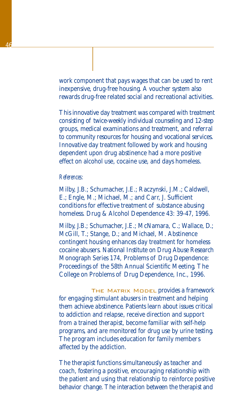work component that pays wages that can be used to rent inexpensive, drug-free housing. A voucher system also rewards drug-free related social and recreational activities.

This innovative day treatment was compared with treatment consisting of twice-weekly individual counseling and 12-step groups, medical examinations and treatment, and referral to community resources for housing and vocational services. Innovative day treatment followed by work and housing dependent upon drug abstinence had a more positive effect on alcohol use, cocaine use, and days homeless.

#### *References:*

Milby, J.B.; Schumacher, J.E.; Raczynski, J.M.; Caldwell, E.; Engle, M.; Michael, M.; and Carr, J. Sufficient conditions for effective treatment of substance abusing homeless. Drug & Alcohol Dependence 43: 39-47, 1996.

Milby, J.B.; Schumacher, J.E.; McNamara, C.; Wallace, D.; McGill, T.; Stange, D.; and Michael, M. Abstinence contingent housing enhances day treatment for homeless cocaine abusers. National Institute on Drug Abuse Research Monograph Series 174, Problems of Drug Dependence: Proceedings of the 58th Annual Scientific Meeting. The College on Problems of Drug Dependence, Inc., 1996.

THE MATRIX MODEL provides a framework for engaging stimulant abusers in treatment and helping them achieve abstinence. Patients learn about issues critical to addiction and relapse, receive direction and support from a trained therapist, become familiar with self-help programs, and are monitored for drug use by urine testing. The program includes education for family members affected by the addiction.

The therapist functions simultaneously as teacher and coach, fostering a positive, encouraging relationship with the patient and using that relationship to reinforce positive behavior change. The interaction between the therapist and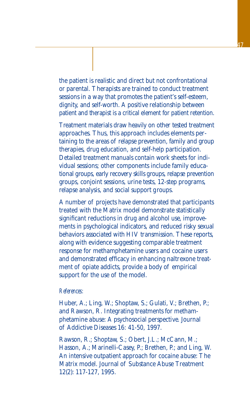the patient is realistic and direct but not confrontational or parental. Therapists are trained to conduct treatment sessions in a way that promotes the patient's self-esteem, dignity, and self-worth. A positive relationship between patient and therapist is a critical element for patient retention.

Treatment materials draw heavily on other tested treatment approaches. Thus, this approach includes elements pertaining to the areas of relapse prevention, family and group therapies, drug education, and self-help participation. Detailed treatment manuals contain work sheets for individual sessions; other components include family educational groups, early recovery skills groups, relapse prevention groups, conjoint sessions, urine tests, 12-step programs, relapse analysis, and social support groups.

A number of projects have demonstrated that participants treated with the Matrix model demonstrate statistically significant reductions in drug and alcohol use, improvements in psychological indicators, and reduced risky sexual behaviors associated with HIV transmission. These reports, along with evidence suggesting comparable treatment response for methamphetamine users and cocaine users and demonstrated efficacy in enhancing naltrexone treatment of opiate addicts, provide a body of empirical support for the use of the model.

#### *References:*

Huber, A.; Ling, W.; Shoptaw, S.; Gulati, V.; Brethen, P.; and Rawson, R. Integrating treatments for methamphetamine abuse: A psychosocial perspective. Journal of Addictive Diseases 16: 41-50, 1997.

Rawson, R.; Shoptaw, S.; Obert, J.L.; McCann, M.; Hasson, A.; Marinelli-Casey, P.; Brethen, P.; and Ling, W. An intensive outpatient approach for cocaine abuse: The Matrix model. Journal of Substance Abuse Treatment 12(2): 117-127, 1995.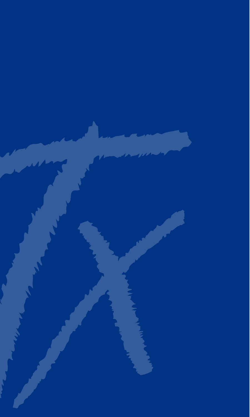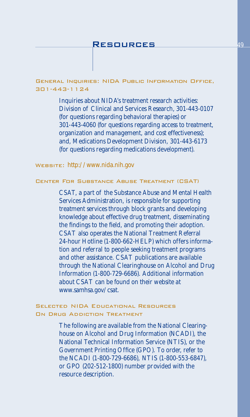#### GENERAL INQUIRIES: NIDA PUBLIC INFORMATION OFFICE, 301-443-1124

Inquiries about NIDA's treatment research activities: Division of Clinical and Services Research, 301-443-0107 (for questions regarding behavioral therapies) or 301-443-4060 (for questions regarding access to treatment, organization and management, and cost effectiveness); and, Medications Development Division, 301-443-6173 (for questions regarding medications development).

#### WEBSITE: http://www.nida.nih.gov

#### CENTER FOR SUBSTANCE ABUSE TREATMENT (CSAT)

CSAT, a part of the Substance Abuse and Mental Health Services Administration, is responsible for supporting treatment services through block grants and developing knowledge about effective drug treatment, disseminating the findings to the field, and promoting their adoption. CSAT also operates the National Treatment Referral 24-hour Hotline (1-800-662-HELP) which offers information and referral to people seeking treatment programs and other assistance. CSAT publications are available through the National Clearinghouse on Alcohol and Drug Information (1-800-729-6686). Additional information about CSAT can be found on their website at www.samhsa.gov/csat.

## Selected NIDA Educational Resources On Drug Addiction Treatment

The following are available from the National Clearinghouse on Alcohol and Drug Information (NCADI), the National Technical Information Service (NTIS), or the Government Printing Office (GPO). To order, refer to the NCADI (1-800-729-6686), NTIS (1-800-553-6847), or GPO (202-512-1800) number provided with the resource description.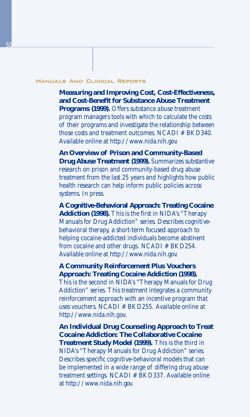#### Manuals And Clinical Reports

**Measuring and Improving Cost, Cost-Effectiveness, and Cost-Benefit for Substance Abuse Treatment Programs (1999).** Offers substance abuse treatment program managers tools with which to calculate the costs of their programs and investigate the relationship between those costs and treatment outcomes. NCADI # BKD340. Available online at http://www.nida.nih.gov.

**An Overview of Prison and Community-Based Drug Abuse Treatment (1999).** Summarizes substantive research on prison and community-based drug abuse treatment from the last 25 years and highlights how public health research can help inform public policies across systems. In press.

**A Cognitive-Behavioral Approach: Treating Cocaine Addiction (1998).** This is the first in NIDA's "Therapy Manuals for Drug Addiction" series. Describes cognitivebehavioral therapy, a short-term focused approach to helping cocaine-addicted individuals become abstinent from cocaine and other drugs. NCADI # BKD254. Available online at http://www.nida.nih.gov.

**A Community Reinforcement Plus Vouchers Approach: Treating Cocaine Addiction (1998).** This is the second in NIDA's "Therapy Manuals for Drug Addiction" series. This treatment integrates a community reinforcement approach with an incentive program that uses vouchers. NCADI # BKD255. Available online at http://www.nida.nih.gov.

**An Individual Drug Counseling Approach to Treat Cocaine Addiction: The Collaborative Cocaine Treatment Study Model (1999).** This is the third in NIDA's "Therapy Manuals for Drug Addiction" series. Describes specific cognitive-behavioral models that can be implemented in a wide range of differing drug abuse treatment settings. NCADI # BKD337. Available online at http://www.nida.nih.gov.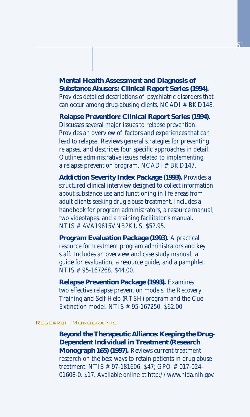**Mental Health Assessment and Diagnosis of Substance Abusers: Clinical Report Series (1994).** Provides detailed descriptions of psychiatric disorders that can occur among drug-abusing clients. NCADI # BKD148. 51

**Relapse Prevention: Clinical Report Series (1994).** Discusses several major issues to relapse prevention. Provides an overview of factors and experiences that can lead to relapse. Reviews general strategies for preventing relapses, and describes four specific approaches in detail. Outlines administrative issues related to implementing a relapse prevention program. NCADI # BKD147.

**Addiction Severity Index Package (1993).** Provides a structured clinical interview designed to collect information about substance use and functioning in life areas from adult clients seeking drug abuse treatment. Includes a handbook for program administrators, a resource manual, two videotapes, and a training facilitator's manual. NTIS # AVA19615VNB2KUS. \$52.95.

**Program Evaluation Package (1993).** A practical resource for treatment program administrators and key staff. Includes an overview and case study manual, a guide for evaluation, a resource guide, and a pamphlet. NTIS # 95-167268. \$44.00.

**Relapse Prevention Package (1993).** Examines two effective relapse prevention models, the Recovery Training and Self-Help (RTSH) program and the Cue Extinction model. NTIS # 95-167250. \$62.00.

#### Research Monographs

**Beyond the Therapeutic Alliance: Keeping the Drug-Dependent Individual in Treatment (Research Monograph 165) (1997).** Reviews current treatment research on the best ways to retain patients in drug abuse treatment. NTIS # 97-181606. \$47; GPO # 017-024- 01608-0. \$17. Available online at http://www.nida.nih.gov.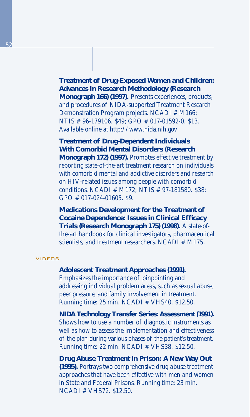**Treatment of Drug-Exposed Women and Children: Advances in Research Methodology (Research Monograph 166) (1997).** Presents experiences, products, and procedures of NIDA-supported Treatment Research Demonstration Program projects. NCADI # M166; NTIS # 96-179106. \$49; GPO # 017-01592-0. \$13. Available online at http://www.nida.nih.gov.

## **Treatment of Drug-Dependent Individuals With Comorbid Mental Disorders (Research**

**Monograph 172) (1997).** Promotes effective treatment by reporting state-of-the-art treatment research on individuals with comorbid mental and addictive disorders and research on HIV-related issues among people with comorbid conditions. NCADI # M172; NTIS # 97-181580. \$38; GPO # 017-024-01605. \$9.

**Medications Development for the Treatment of Cocaine Dependence: Issues in Clinical Efficacy Trials (Research Monograph 175) (1998).** A state-ofthe-art handbook for clinical investigators, pharmaceutical scientists, and treatment researchers. NCADI # M175.

#### Videos

#### **Adolescent Treatment Approaches (1991).**

Emphasizes the importance of pinpointing and addressing individual problem areas, such as sexual abuse, peer pressure, and family involvement in treatment. Running time: 25 min. NCADI # VHS40. \$12.50.

**NIDA Technology Transfer Series: Assessment (1991).** Shows how to use a number of diagnostic instruments as well as how to assess the implementation and effectiveness of the plan during various phases of the patient's treatment. Running time: 22 min. NCADI # VHS38. \$12.50.

**Drug Abuse Treatment in Prison: A New Way Out (1995).** Portrays two comprehensive drug abuse treatment approaches that have been effective with men and women in State and Federal Prisons. Running time: 23 min. NCADI # VHS72. \$12.50.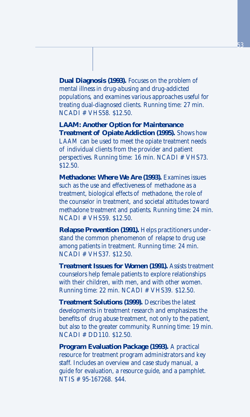**Dual Diagnosis (1993).** Focuses on the problem of mental illness in drug-abusing and drug-addicted populations, and examines various approaches useful for treating dual-diagnosed clients. Running time: 27 min. NCADI # VHS58. \$12.50.

**LAAM: Another Option for Maintenance Treatment of Opiate Addiction (1995).** Shows how LAAM can be used to meet the opiate treatment needs of individual clients from the provider and patient perspectives. Running time: 16 min. NCADI # VHS73. \$12.50.

**Methadone: Where We Are (1993).** Examines issues such as the use and effectiveness of methadone as a treatment, biological effects of methadone, the role of the counselor in treatment, and societal attitudes toward methadone treatment and patients. Running time: 24 min. NCADI # VHS59. \$12.50.

**Relapse Prevention (1991).** Helps practitioners understand the common phenomenon of relapse to drug use among patients in treatment. Running time: 24 min. NCADI # VHS37. \$12.50.

**Treatment Issues for Women (1991).** Assists treatment counselors help female patients to explore relationships with their children, with men, and with other women. Running time: 22 min. NCADI # VHS39. \$12.50.

**Treatment Solutions (1999).** Describes the latest developments in treatment research and emphasizes the benefits of drug abuse treatment, not only to the patient, but also to the greater community. Running time: 19 min. NCADI # DD110. \$12.50.

**Program Evaluation Package (1993).** A practical resource for treatment program administrators and key staff. Includes an overview and case study manual, a guide for evaluation, a resource guide, and a pamphlet. NTIS # 95-167268. \$44.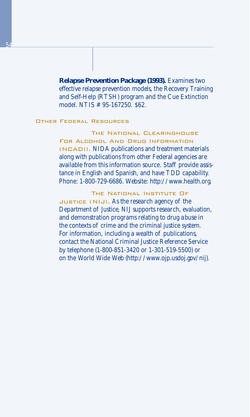**Relapse Prevention Package (1993).** Examines two effective relapse prevention models, the Recovery Training and Self-Help (RTSH) program and the Cue Extinction model. NTIS # 95-167250. \$62.

#### Other Federal Resources

The National Clearinghouse For Alcohol And Drug Information (NCADI). NIDA publications and treatment materials along with publications from other Federal agencies are available from this information source. Staff provide assistance in English and Spanish, and have TDD capability. Phone: 1-800-729-6686. Website: http://www.health.org.

#### The National Institute Of

Justice (NIJ). As the research agency of the Department of Justice, NIJ supports research, evaluation, and demonstration programs relating to drug abuse in the contexts of crime and the criminal justice system. For information, including a wealth of publications, contact the National Criminal Justice Reference Service by telephone (1-800-851-3420 or 1-301-519-5500) or on the World Wide Web (http://www.ojp.usdoj.gov/nij).